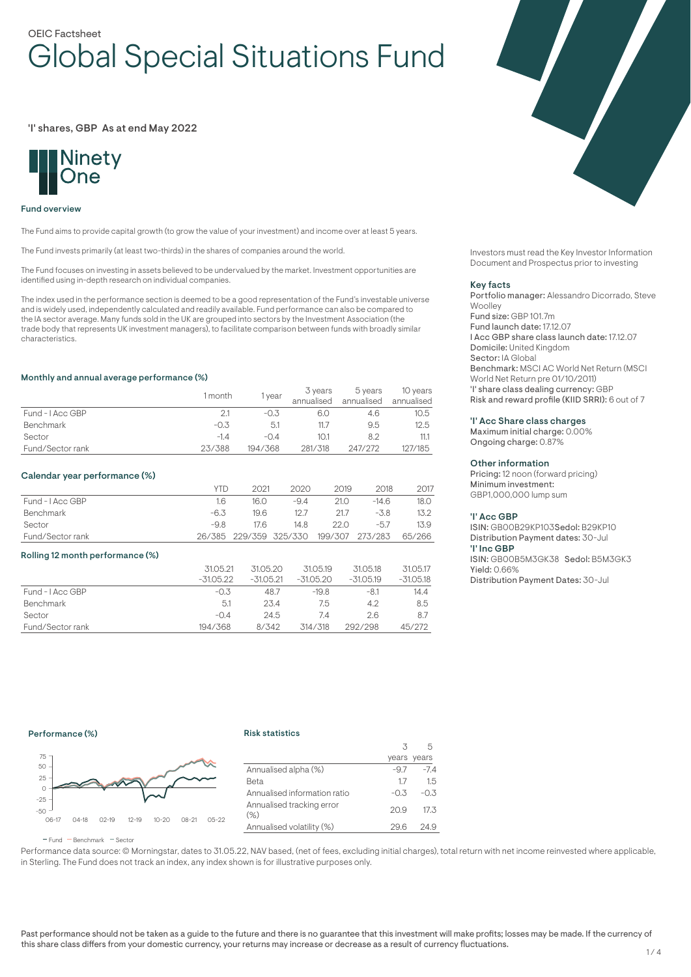# OEIC Factsheet Global Special Situations Fund

### 'I' shares, GBP As at end May 2022



#### Fund overview

The Fund aims to provide capital growth (to grow the value of your investment) and income over at least 5 years.

The Fund invests primarily (at least two-thirds) in the shares of companies around the world.

The Fund focuses on investing in assets believed to be undervalued by the market. Investment opportunities are identified using in-depth research on individual companies.

The index used in the performance section is deemed to be a good representation of the Fund's investable universe and is widely used, independently calculated and readily available. Fund performance can also be compared to the IA sector average. Many funds sold in the UK are grouped into sectors by the Investment Association (the trade body that represents UK investment managers), to facilitate comparison between funds with broadly similar characteristics.

#### Monthly and annual average performance (%)

|                  | l month | vear        | 3 years<br>annualised | 5 years<br>annualised | 10 years<br>annualised |
|------------------|---------|-------------|-----------------------|-----------------------|------------------------|
| Fund - I Acc GBP |         | $-(1.5)$    |                       | 4.6                   | 10.5                   |
| Benchmark        | $-0.3$  | 5.1         | 11.7                  | 9.5                   | 12.5                   |
| Sector           | $-1.4$  | $-(\Delta)$ | 10.1                  | 8.2                   | 11.1                   |
| Fund/Sector rank | 23/388  | 194/368     | 281/318               | 247/272               | 127/185                |

### Calendar year performance (%)

|                  | YTD  | 2021 | 2020                   | 2019 | 2018                   | 2017 |
|------------------|------|------|------------------------|------|------------------------|------|
| Fund - I Acc GBP | 16   | 16.0 | $-9.4$                 | 21.0 | $-14.6$                | 18.O |
| Benchmark        | -6.3 | 19.6 | 12.7                   | 21.7 | -3.8                   | 13.2 |
| Sector           | -9.8 | 17.6 | 14.8                   | 22.O | $-5.7$                 | 13.9 |
| Fund/Sector rank |      |      | 26/385 229/359 325/330 |      | 199/307 273/283 65/266 |      |

#### Rolling 12 month performance (%)

|                  | 31.05.21    | 31.05.20    | 31.05.19  | 31.05.18    | 31.05.17    |
|------------------|-------------|-------------|-----------|-------------|-------------|
|                  | $-31.05.22$ | $-31.05.21$ | -31.05.20 | $-31.05.19$ | $-31.05.18$ |
| Fund - I Acc GBP | $-0.3$      | 48.7        | $-19.8$   | $-8.1$      | 14.4        |
| Benchmark        | 5.1         | 23.4        | 7.5       | 4.2         | 8.5         |
| Sector           | $-0.4$      | 24.5        | 74        | 2.6         | 8.7         |
| Fund/Sector rank | 194/368     | 8/342       | 314/318   | 292/298     | 45/272      |



Investors must read the Key Investor Information Document and Prospectus prior to investing

#### Key facts

Portfolio manager: Alessandro Dicorrado, Steve **Woolley** Fund size: GBP 101.7m Fund launch date: 17.12.07 I Acc GBP share class launch date: 17.12.07 Domicile: United Kingdom Sector: IA Global Benchmark: MSCI AC World Net Return (MSCI World Net Return pre 01/10/2011) 'I' share class dealing currency: GBP Risk and reward profile (KIID SRRI): 6 out of 7

### 'I' Acc Share class charges

Maximum initial charge: 0.00% Ongoing charge: 0.87%

# Other information

Pricing: 12 noon (forward pricing) Minimum investment: GBP1,000,000 lump sum

#### 'I' Acc GBP

ISIN: GB00B29KP103Sedol: B29KP10 Distribution Payment dates: 30-Jul 'I' Inc GBP ISIN: GB00B5M3GK38 Sedol: B5M3GK3 Yield: 0.66% Distribution Payment Dates: 30-Jul

# Performance (%)

#### Risk statistics



|                                     | 3      |             |
|-------------------------------------|--------|-------------|
|                                     |        | years years |
| Annualised alpha (%)                | -9.7   | $-7.4$      |
| Beta                                | 17     | 1.5         |
| Annualised information ratio        | $-0.3$ | $-0.3$      |
| Annualised tracking error<br>$(\%)$ | 20.9   | 17.3        |
| Annualised volatility (%)           | 29.6   | -24.9       |
|                                     |        |             |

 $F$ und  $B$ Benchmark  $F$ Sector

Performance data source: © Morningstar, dates to 31.05.22, NAV based, (net of fees, excluding initial charges), total return with net income reinvested where applicable, in Sterling. The Fund does not track an index, any index shown is for illustrative purposes only.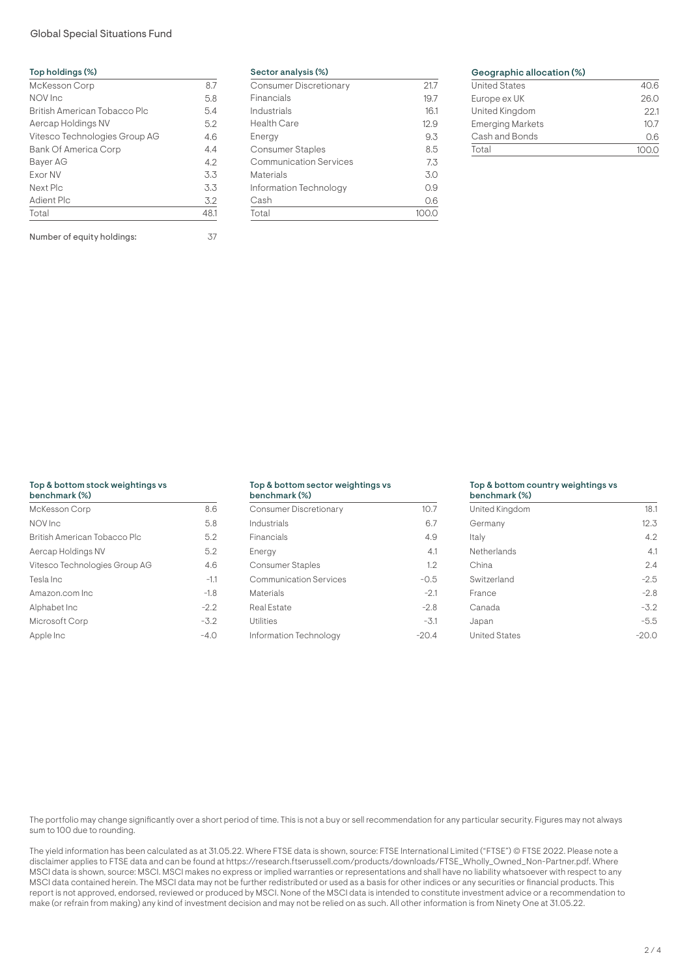# Global Special Situations Fund

| Top holdings (%)              |      |
|-------------------------------|------|
| <b>McKesson Corp</b>          | 8.7  |
| NOV Inc                       | 5.8  |
| British American Tobacco Plc  | 5.4  |
| Aercap Holdings NV            | 5.2  |
| Vitesco Technologies Group AG | 4.6  |
| <b>Bank Of America Corp</b>   | 4.4  |
| Bayer AG                      | 4.2  |
| <b>Exor NV</b>                | 3.3  |
| Next Plc                      | 3.3  |
| Adient Plc                    | 3.2  |
| Total                         | 48.1 |

Number of equity holdings: 37

Sector analysis (%)

| <b>Consumer Discretionary</b> | 21.7 |
|-------------------------------|------|
| Financials                    | 19.7 |
| Industrials                   | 16.1 |
| <b>Health Care</b>            | 12.9 |
| Energy                        | 9.3  |
| Consumer Staples              | 8.5  |
| <b>Communication Services</b> | 7.3  |
| Materials                     | 3.0  |
| Information Technology        | 0.9  |
| Cash                          | 0.6  |
| Total                         |      |

# Geographic allocation (%)

| <b>United States</b>    | 40.6 |
|-------------------------|------|
| Europe ex UK            | 26.0 |
| United Kingdom          | 22.1 |
| <b>Emerging Markets</b> | 10.7 |
| Cash and Bonds          | 06   |
| Total                   |      |

# Top & bottom stock weightings vs

| benchmark (%)                 |        |
|-------------------------------|--------|
| McKesson Corp                 | 8.6    |
| NOV Inc                       | 5.8    |
| British American Tobacco Plc  | 5.2    |
| Aercap Holdings NV            | 5.2    |
| Vitesco Technologies Group AG | 4.6    |
| Tesla Inc                     | $-1.1$ |
| Amazon.com Inc                | $-1.8$ |
| Alphabet Inc                  | $-2.2$ |
| Microsoft Corp                | $-3.2$ |
| Apple Inc                     | $-4.0$ |

#### Top & bottom sector weightings vs  $b = 100$

| Denchmark (%)                 |         |
|-------------------------------|---------|
| Consumer Discretionary        | 10.7    |
| Industrials                   | 6.7     |
| Financials                    | 4.9     |
| Energy                        | 4.1     |
| Consumer Staples              | 1.2     |
| <b>Communication Services</b> | $-0.5$  |
| Materials                     | $-2.1$  |
| Real Estate                   | $-2.8$  |
| <b>Utilities</b>              | $-3.1$  |
| Information Technology        | $-20.4$ |

# Top & bottom country weightings vs

| benchmark (%)        |        |
|----------------------|--------|
| United Kingdom       | 18.1   |
| Germany              | 12.3   |
| Italy                | 4.2    |
| Netherlands          | 4.1    |
| China                | 2.4    |
| Switzerland          | $-2.5$ |
| France               | $-2.8$ |
| Canada               | $-3.2$ |
| Japan                | $-5.5$ |
| <b>United States</b> | -20.0  |

The portfolio may change significantly over a short period of time. This is not a buy or sell recommendation for any particular security. Figures may not always sum to 100 due to rounding.

The yield information has been calculated as at 31.05.22. Where FTSE data is shown, source: FTSE International Limited ("FTSE") © FTSE 2022. Please note a disclaimer applies to FTSE data and can be found at https://research.ftserussell.com/products/downloads/FTSE\_Wholly\_Owned\_Non-Partner.pdf. Where MSCI data is shown, source: MSCI. MSCI makes no express or implied warranties or representations and shall have no liability whatsoever with respect to any MSCI data contained herein. The MSCI data may not be further redistributed or used as a basis for other indices or any securities or financial products. This report is not approved, endorsed, reviewed or produced by MSCI. None of the MSCI data is intended to constitute investment advice or a recommendation to make (or refrain from making) any kind of investment decision and may not be relied on as such. All other information is from Ninety One at 31.05.22.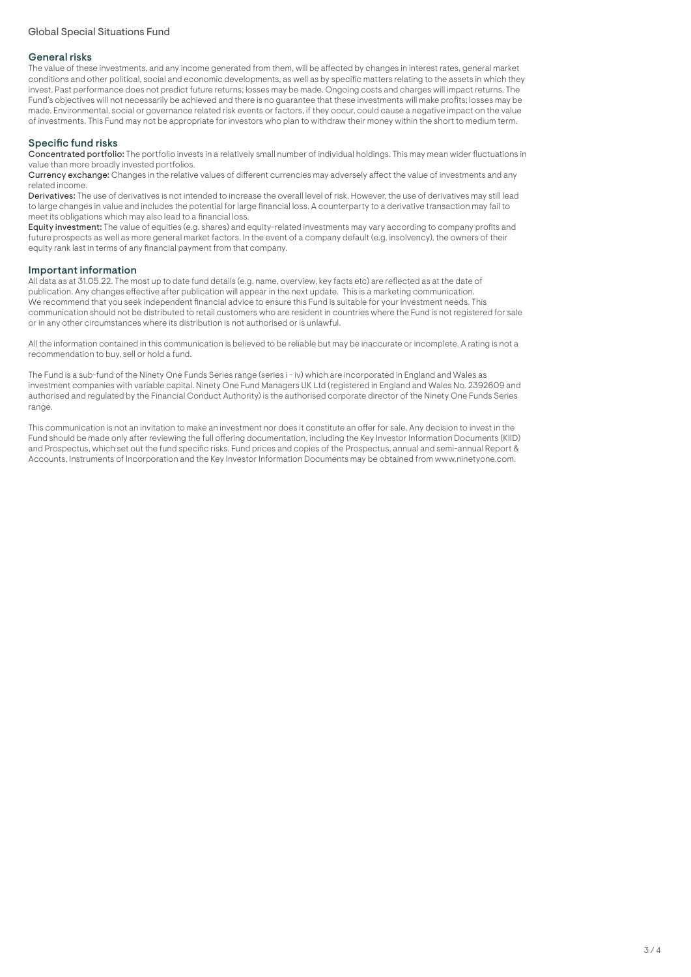# General risks

The value of these investments, and any income generated from them, will be affected by changes in interest rates, general market conditions and other political, social and economic developments, as well as by specific matters relating to the assets in which they invest. Past performance does not predict future returns; losses may be made. Ongoing costs and charges will impact returns. The Fund's objectives will not necessarily be achieved and there is no guarantee that these investments will make profits; losses may be made. Environmental, social or governance related risk events or factors, if they occur, could cause a negative impact on the value of investments. This Fund may not be appropriate for investors who plan to withdraw their money within the short to medium term.

# Specific fund risks

Concentrated portfolio: The portfolio invests in a relatively small number of individual holdings. This may mean wider fluctuations in value than more broadly invested portfolios.

Currency exchange: Changes in the relative values of different currencies may adversely affect the value of investments and any related income.

Derivatives: The use of derivatives is not intended to increase the overall level of risk. However, the use of derivatives may still lead to large changes in value and includes the potential for large financial loss. A counterparty to a derivative transaction may fail to meet its obligations which may also lead to a financial loss.

Equity investment: The value of equities (e.g. shares) and equity-related investments may vary according to company profits and future prospects as well as more general market factors. In the event of a company default (e.g. insolvency), the owners of their equity rank last in terms of any financial payment from that company.

## Important information

All data as at 31.05.22. The most up to date fund details (e.g. name, overview, key facts etc) are reflected as at the date of publication. Any changes effective after publication will appear in the next update. This is a marketing communication. We recommend that you seek independent financial advice to ensure this Fund is suitable for your investment needs. This communication should not be distributed to retail customers who are resident in countries where the Fund is not registered for sale or in any other circumstances where its distribution is not authorised or is unlawful.

All the information contained in this communication is believed to be reliable but may be inaccurate or incomplete. A rating is not a recommendation to buy, sell or hold a fund.

The Fund is a sub-fund of the Ninety One Funds Series range (series i - iv) which are incorporated in England and Wales as investment companies with variable capital. Ninety One Fund Managers UK Ltd (registered in England and Wales No. 2392609 and authorised and regulated by the Financial Conduct Authority) is the authorised corporate director of the Ninety One Funds Series range.

This communication is not an invitation to make an investment nor does it constitute an offer for sale. Any decision to invest in the Fund should be made only after reviewing the full offering documentation, including the Key Investor Information Documents (KIID) and Prospectus, which set out the fund specific risks. Fund prices and copies of the Prospectus, annual and semi-annual Report & Accounts, Instruments of Incorporation and the Key Investor Information Documents may be obtained from www.ninetyone.com.